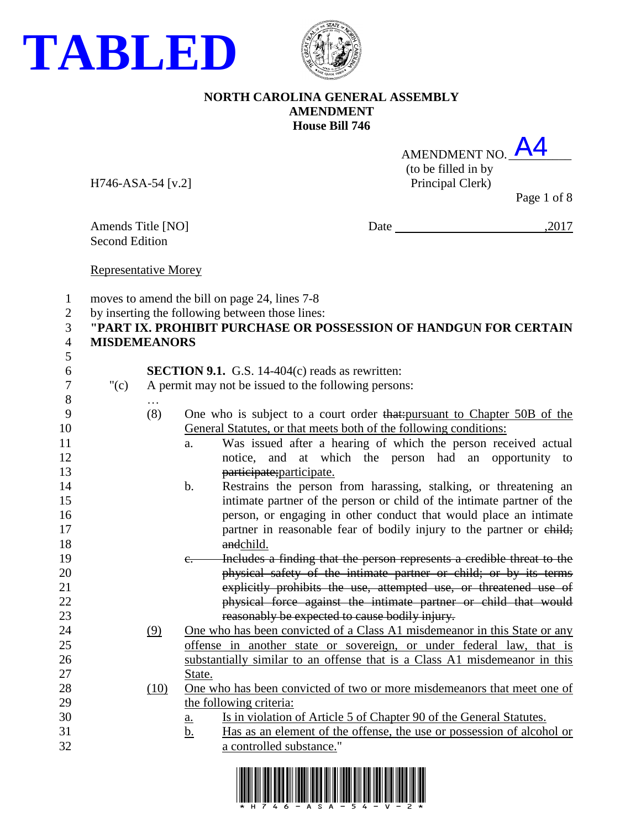



| AMENDMENT NO. <b>A4</b> |  |
|-------------------------|--|
| (to be filled in by     |  |
| Principal Clark         |  |

H746-ASA-54 [v.2] Principal Clerk)

Page 1 of 8

Second Edition

Amends Title [NO] Date ,2017

Representative Morey

|  | moves to amend the bill on page 24, lines 7-8 |  |  |  |
|--|-----------------------------------------------|--|--|--|
|--|-----------------------------------------------|--|--|--|

by inserting the following between those lines:

#### **"PART IX. PROHIBIT PURCHASE OR POSSESSION OF HANDGUN FOR CERTAIN MISDEMEANORS**

- **SECTION 9.1.** G.S. 14-404(c) reads as rewritten:
- "(c) A permit may not be issued to the following persons: …
- (8) One who is subject to a court order that:pursuant to Chapter 50B of the General Statutes, or that meets both of the following conditions:
- a. Was issued after a hearing of which the person received actual notice, and at which the person had an opportunity to **participate**; participate.
- b. Restrains the person from harassing, stalking, or threatening an intimate partner of the person or child of the intimate partner of the person, or engaging in other conduct that would place an intimate **partner** in reasonable fear of bodily injury to the partner or child; 18 and child.
- c. Includes a finding that the person represents a credible threat to the physical safety of the intimate partner or child; or by its terms explicitly prohibits the use, attempted use, or threatened use of physical force against the intimate partner or child that would reasonably be expected to cause bodily injury.
- (9) One who has been convicted of a Class A1 misdemeanor in this State or any offense in another state or sovereign, or under federal law, that is substantially similar to an offense that is a Class A1 misdemeanor in this 27 State.
- (10) One who has been convicted of two or more misdemeanors that meet one of 29 the following criteria:
- a. Is in violation of Article 5 of Chapter 90 of the General Statutes.
- b. Has as an element of the offense, the use or possession of alcohol or a controlled substance."

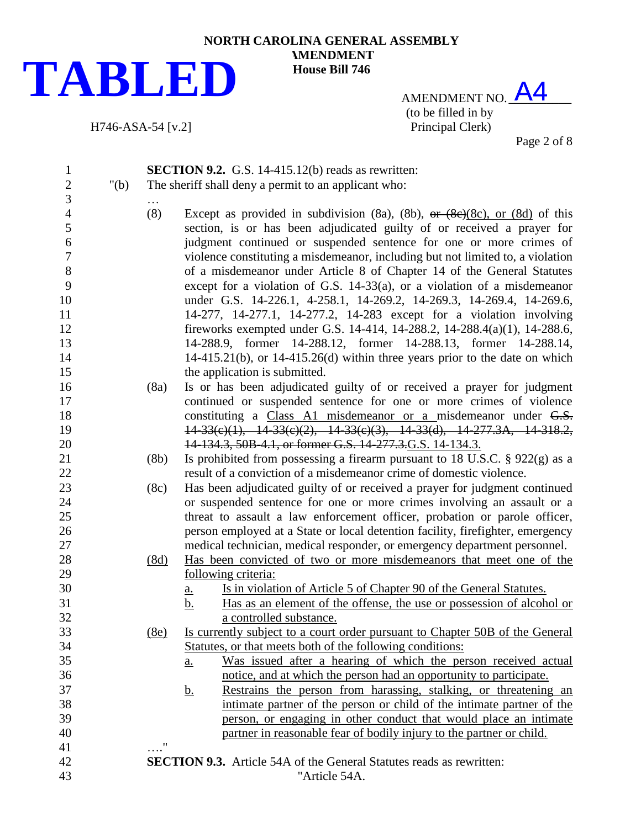

H746-ASA-54 [v.2]

**NORTH CAROLINA GENERAL ASSEMBLY AMENDMENT House Bill 746**

> AMENDMENT NO.  $AA$ (to be filled in by<br>Principal Clerk)

Page 2 of 8

| $\mathbf{1}$        |         |            | <b>SECTION 9.2.</b> G.S. 14-415.12(b) reads as rewritten:                                                                                                    |
|---------------------|---------|------------|--------------------------------------------------------------------------------------------------------------------------------------------------------------|
| $\overline{c}$      | " $(b)$ |            | The sheriff shall deny a permit to an applicant who:                                                                                                         |
| 3                   |         |            |                                                                                                                                                              |
| $\overline{4}$<br>5 |         | (8)        | Except as provided in subdivision (8a), (8b), $\theta$ + (8e)(8c), or (8d) of this<br>section, is or has been adjudicated guilty of or received a prayer for |
| 6                   |         |            | judgment continued or suspended sentence for one or more crimes of                                                                                           |
| $\overline{7}$      |         |            | violence constituting a misdemeanor, including but not limited to, a violation                                                                               |
| 8                   |         |            | of a misdemeanor under Article 8 of Chapter 14 of the General Statutes                                                                                       |
| 9                   |         |            | except for a violation of G.S. 14-33(a), or a violation of a misdemeanor                                                                                     |
| 10                  |         |            | under G.S. 14-226.1, 4-258.1, 14-269.2, 14-269.3, 14-269.4, 14-269.6,                                                                                        |
| 11                  |         |            | 14-277, 14-277.1, 14-277.2, 14-283 except for a violation involving                                                                                          |
| 12                  |         |            | fireworks exempted under G.S. 14-414, 14-288.2, 14-288.4(a)(1), 14-288.6,                                                                                    |
| 13                  |         |            | 14-288.9, former 14-288.12, former 14-288.13, former 14-288.14,                                                                                              |
| 14                  |         |            | $14-415.21(b)$ , or $14-415.26(d)$ within three years prior to the date on which                                                                             |
| 15                  |         |            | the application is submitted.                                                                                                                                |
| 16                  |         | (8a)       | Is or has been adjudicated guilty of or received a prayer for judgment                                                                                       |
| 17                  |         |            | continued or suspended sentence for one or more crimes of violence                                                                                           |
| 18                  |         |            | constituting a Class A1 misdemeanor or a misdemeanor under G.S.                                                                                              |
| 19                  |         |            | $14-33(c)(1)$ , $14-33(c)(2)$ , $14-33(c)(3)$ , $14-33(d)$ , $14-277.3A$ , $14-318.2$ ,                                                                      |
| 20                  |         |            | 14-134.3, 50B-4.1, or former G.S. 14-277.3. G.S. 14-134.3.                                                                                                   |
| 21                  |         | (8b)       | Is prohibited from possessing a firearm pursuant to 18 U.S.C. $\S$ 922(g) as a                                                                               |
| 22                  |         |            | result of a conviction of a misdemeanor crime of domestic violence.                                                                                          |
| 23                  |         | (8c)       | Has been adjudicated guilty of or received a prayer for judgment continued                                                                                   |
| 24                  |         |            | or suspended sentence for one or more crimes involving an assault or a                                                                                       |
| $25\,$              |         |            | threat to assault a law enforcement officer, probation or parole officer,                                                                                    |
| 26                  |         |            | person employed at a State or local detention facility, firefighter, emergency                                                                               |
| 27                  |         |            | medical technician, medical responder, or emergency department personnel.                                                                                    |
| 28                  |         | (8d)       | Has been convicted of two or more misdemeanors that meet one of the                                                                                          |
| 29                  |         |            | following criteria:                                                                                                                                          |
| 30<br>31            |         |            | Is in violation of Article 5 of Chapter 90 of the General Statutes.<br><u>a.</u>                                                                             |
| 32                  |         |            | Has as an element of the offense, the use or possession of alcohol or<br><u>b.</u><br>a controlled substance.                                                |
| 33                  |         | (8e)       | Is currently subject to a court order pursuant to Chapter 50B of the General                                                                                 |
| 34                  |         |            | Statutes, or that meets both of the following conditions:                                                                                                    |
| 35                  |         |            | Was issued after a hearing of which the person received actual<br><u>a.</u>                                                                                  |
| 36                  |         |            | notice, and at which the person had an opportunity to participate.                                                                                           |
| 37                  |         |            | Restrains the person from harassing, stalking, or threatening an<br><u>b.</u>                                                                                |
| 38                  |         |            | intimate partner of the person or child of the intimate partner of the                                                                                       |
| 39                  |         |            | person, or engaging in other conduct that would place an intimate                                                                                            |
| 40                  |         |            | partner in reasonable fear of bodily injury to the partner or child.                                                                                         |
| 41                  |         | $\ldots$ " |                                                                                                                                                              |
| 42                  |         |            | <b>SECTION 9.3.</b> Article 54A of the General Statutes reads as rewritten:                                                                                  |
| 43                  |         |            | "Article 54A.                                                                                                                                                |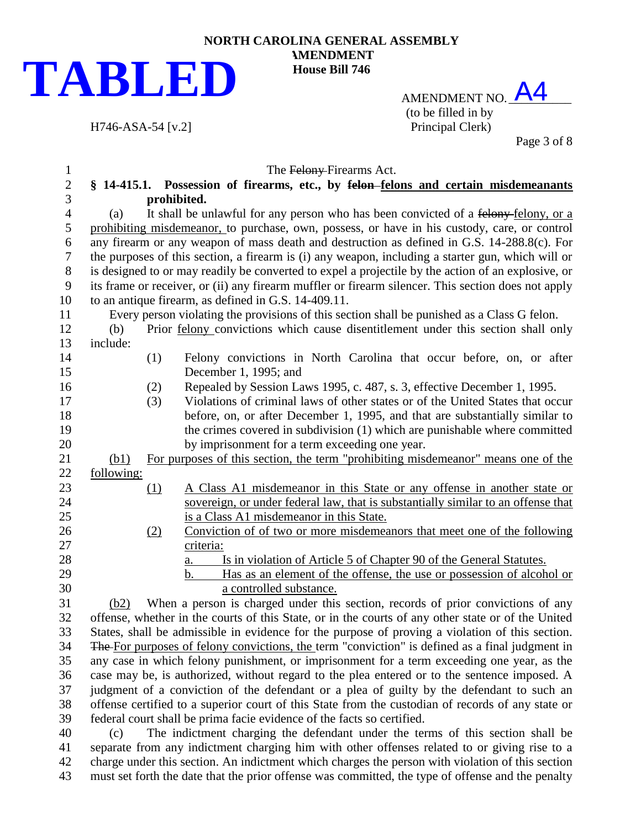

AMENDMENT NO. A4 (to be filled in by

Page 3 of 8

| 1              |            |     | The Felony-Firearms Act.                                                                            |
|----------------|------------|-----|-----------------------------------------------------------------------------------------------------|
| $\mathbf{2}$   |            |     | § 14-415.1. Possession of firearms, etc., by felon-felons and certain misdemeanants                 |
| 3              |            |     | prohibited.                                                                                         |
| $\overline{4}$ | (a)        |     | It shall be unlawful for any person who has been convicted of a felony-felony, or a                 |
| 5              |            |     | prohibiting misdemeanor, to purchase, own, possess, or have in his custody, care, or control        |
| 6              |            |     | any firearm or any weapon of mass death and destruction as defined in G.S. 14-288.8(c). For         |
| $\tau$         |            |     | the purposes of this section, a firearm is (i) any weapon, including a starter gun, which will or   |
| 8              |            |     | is designed to or may readily be converted to expel a projectile by the action of an explosive, or  |
| 9              |            |     | its frame or receiver, or (ii) any firearm muffler or firearm silencer. This section does not apply |
| 10             |            |     | to an antique firearm, as defined in G.S. 14-409.11.                                                |
| 11             |            |     | Every person violating the provisions of this section shall be punished as a Class G felon.         |
| 12             | (b)        |     | Prior <u>felony</u> convictions which cause disentitlement under this section shall only            |
| 13             | include:   |     |                                                                                                     |
| 14<br>15       |            | (1) | Felony convictions in North Carolina that occur before, on, or after<br>December 1, 1995; and       |
| 16             |            | (2) | Repealed by Session Laws 1995, c. 487, s. 3, effective December 1, 1995.                            |
| 17             |            | (3) | Violations of criminal laws of other states or of the United States that occur                      |
| 18             |            |     | before, on, or after December 1, 1995, and that are substantially similar to                        |
| 19             |            |     | the crimes covered in subdivision (1) which are punishable where committed                          |
| 20             |            |     | by imprisonment for a term exceeding one year.                                                      |
| 21             | (b1)       |     | For purposes of this section, the term "prohibiting misdemeanor" means one of the                   |
| 22             | following: |     |                                                                                                     |
| 23             |            | (1) | A Class A1 misdemeanor in this State or any offense in another state or                             |
| 24             |            |     | sovereign, or under federal law, that is substantially similar to an offense that                   |
| 25             |            |     | is a Class A1 misdemeanor in this State.                                                            |
| 26             |            | (2) | Conviction of of two or more misdemeanors that meet one of the following                            |
| 27             |            |     | criteria:                                                                                           |
| 28             |            |     | Is in violation of Article 5 of Chapter 90 of the General Statutes.<br>а.                           |
| 29             |            |     | Has as an element of the offense, the use or possession of alcohol or<br>b.                         |
| 30             |            |     | a controlled substance.                                                                             |
| 31             | (b2)       |     | When a person is charged under this section, records of prior convictions of any                    |
| 32             |            |     | offense, whether in the courts of this State, or in the courts of any other state or of the United  |
| 33             |            |     | States, shall be admissible in evidence for the purpose of proving a violation of this section.     |
| 34             |            |     | The For purposes of felony convictions, the term "conviction" is defined as a final judgment in     |
| 35             |            |     | any case in which felony punishment, or imprisonment for a term exceeding one year, as the          |
| 36             |            |     | case may be, is authorized, without regard to the plea entered or to the sentence imposed. A        |
| 37             |            |     | judgment of a conviction of the defendant or a plea of guilty by the defendant to such an           |
| 38             |            |     | offense certified to a superior court of this State from the custodian of records of any state or   |
| 39             |            |     | federal court shall be prima facie evidence of the facts so certified.                              |

 (c) The indictment charging the defendant under the terms of this section shall be separate from any indictment charging him with other offenses related to or giving rise to a charge under this section. An indictment which charges the person with violation of this section must set forth the date that the prior offense was committed, the type of offense and the penalty

H746-ASA-54 [v.2] Principal Clerk)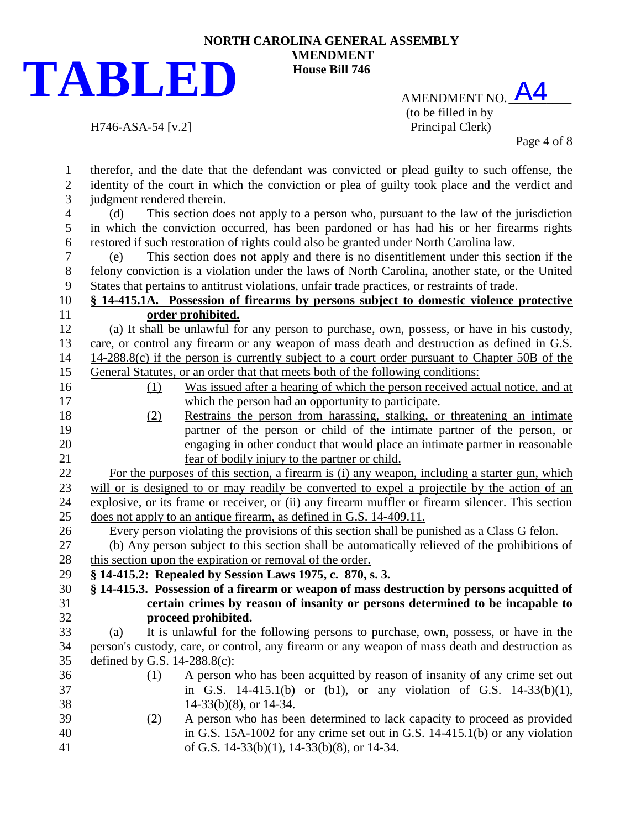

 $H746-ASA-54$  [v.2]

## **NORTH CAROLINA GENERAL ASSEMBLY AMENDMENT House Bill 746**

AMENDMENT NO. A4 (to be filled in by<br>Principal Clerk)

Page 4 of 8

| 1              | therefor, and the date that the defendant was convicted or plead guilty to such offense, the       |
|----------------|----------------------------------------------------------------------------------------------------|
| $\overline{c}$ | identity of the court in which the conviction or plea of guilty took place and the verdict and     |
| 3              | judgment rendered therein.                                                                         |
| $\overline{4}$ | This section does not apply to a person who, pursuant to the law of the jurisdiction<br>(d)        |
| 5              | in which the conviction occurred, has been pardoned or has had his or her firearms rights          |
| 6              | restored if such restoration of rights could also be granted under North Carolina law.             |
| $\tau$         | This section does not apply and there is no disentitlement under this section if the<br>(e)        |
| 8              | felony conviction is a violation under the laws of North Carolina, another state, or the United    |
| 9              | States that pertains to antitrust violations, unfair trade practices, or restraints of trade.      |
| 10             | § 14-415.1A. Possession of firearms by persons subject to domestic violence protective             |
| 11             | order prohibited.                                                                                  |
| 12             | (a) It shall be unlawful for any person to purchase, own, possess, or have in his custody,         |
| 13             | care, or control any firearm or any weapon of mass death and destruction as defined in G.S.        |
| 14             | 14-288.8(c) if the person is currently subject to a court order pursuant to Chapter 50B of the     |
| 15             | General Statutes, or an order that that meets both of the following conditions:                    |
| 16             | Was issued after a hearing of which the person received actual notice, and at<br>(1)               |
| 17             | which the person had an opportunity to participate.                                                |
| 18             | Restrains the person from harassing, stalking, or threatening an intimate<br>(2)                   |
| 19             | partner of the person or child of the intimate partner of the person, or                           |
| 20             | engaging in other conduct that would place an intimate partner in reasonable                       |
| 21             | fear of bodily injury to the partner or child.                                                     |
| 22             | For the purposes of this section, a firearm is (i) any weapon, including a starter gun, which      |
| 23             | will or is designed to or may readily be converted to expel a projectile by the action of an       |
| 24             | explosive, or its frame or receiver, or (ii) any firearm muffler or firearm silencer. This section |
| 25             | does not apply to an antique firearm, as defined in G.S. 14-409.11.                                |
| 26             | Every person violating the provisions of this section shall be punished as a Class G felon.        |
| 27             | (b) Any person subject to this section shall be automatically relieved of the prohibitions of      |
| 28             | this section upon the expiration or removal of the order.                                          |
| 29             | § 14-415.2: Repealed by Session Laws 1975, c. 870, s. 3.                                           |
| 30             | § 14-415.3. Possession of a firearm or weapon of mass destruction by persons acquitted of          |
| 31             | certain crimes by reason of insanity or persons determined to be incapable to                      |
| 32             | proceed prohibited.                                                                                |
| 33             | (a) It is unlawful for the following persons to purchase, own, possess, or have in the             |
| 34             | person's custody, care, or control, any firearm or any weapon of mass death and destruction as     |
| 35             | defined by G.S. $14-288.8(c)$ :                                                                    |
| 36             | A person who has been acquitted by reason of insanity of any crime set out<br>(1)                  |
| 37             | in G.S. 14-415.1(b) or (b1), or any violation of G.S. 14-33(b)(1),                                 |
| 38             | $14-33(b)(8)$ , or $14-34$ .                                                                       |
| 39             | A person who has been determined to lack capacity to proceed as provided<br>(2)                    |
| 40             | in G.S. 15A-1002 for any crime set out in G.S. $14-415.1(b)$ or any violation                      |
| 41             | of G.S. $14-33(b)(1)$ , $14-33(b)(8)$ , or $14-34$ .                                               |
|                |                                                                                                    |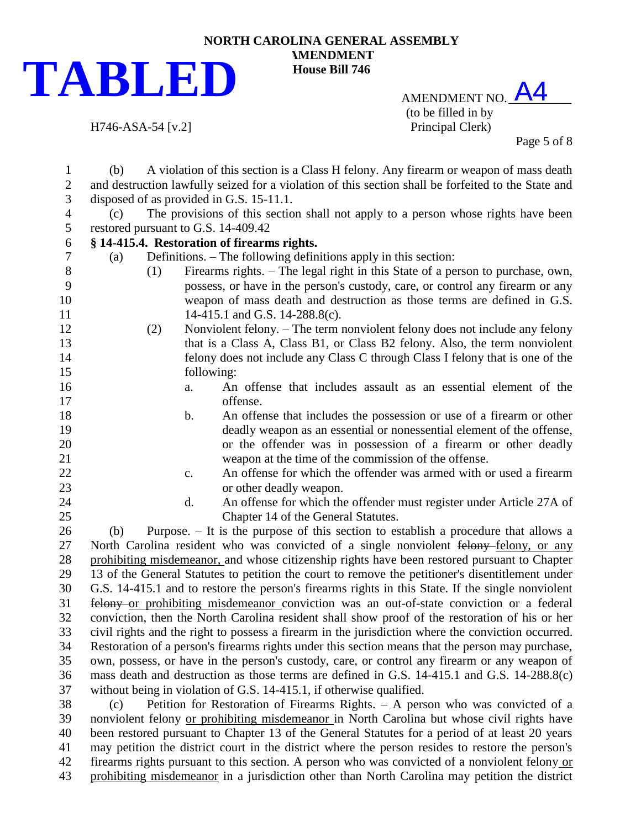

AMENDMENT NO. A4 (to be filled in by H746-ASA-54 [v.2] Principal Clerk)

Page 5 of 8

 (b) A violation of this section is a Class H felony. Any firearm or weapon of mass death and destruction lawfully seized for a violation of this section shall be forfeited to the State and disposed of as provided in G.S. 15-11.1. (c) The provisions of this section shall not apply to a person whose rights have been restored pursuant to G.S. 14-409.42 **§ 14-415.4. Restoration of firearms rights.** (a) Definitions. – The following definitions apply in this section: (1) Firearms rights. – The legal right in this State of a person to purchase, own, possess, or have in the person's custody, care, or control any firearm or any weapon of mass death and destruction as those terms are defined in G.S. 11 14-415.1 and G.S. 14-288.8(c). (2) Nonviolent felony. – The term nonviolent felony does not include any felony that is a Class A, Class B1, or Class B2 felony. Also, the term nonviolent felony does not include any Class C through Class I felony that is one of the following: a. An offense that includes assault as an essential element of the offense. b. An offense that includes the possession or use of a firearm or other deadly weapon as an essential or nonessential element of the offense, or the offender was in possession of a firearm or other deadly weapon at the time of the commission of the offense. c. An offense for which the offender was armed with or used a firearm or other deadly weapon. d. An offense for which the offender must register under Article 27A of Chapter 14 of the General Statutes. (b) Purpose. – It is the purpose of this section to establish a procedure that allows a 27 North Carolina resident who was convicted of a single nonviolent felony-felony, or any prohibiting misdemeanor, and whose citizenship rights have been restored pursuant to Chapter 13 of the General Statutes to petition the court to remove the petitioner's disentitlement under G.S. 14-415.1 and to restore the person's firearms rights in this State. If the single nonviolent felony or prohibiting misdemeanor conviction was an out-of-state conviction or a federal conviction, then the North Carolina resident shall show proof of the restoration of his or her civil rights and the right to possess a firearm in the jurisdiction where the conviction occurred. Restoration of a person's firearms rights under this section means that the person may purchase, own, possess, or have in the person's custody, care, or control any firearm or any weapon of mass death and destruction as those terms are defined in G.S. 14-415.1 and G.S. 14-288.8(c) without being in violation of G.S. 14-415.1, if otherwise qualified. (c) Petition for Restoration of Firearms Rights. – A person who was convicted of a nonviolent felony or prohibiting misdemeanor in North Carolina but whose civil rights have been restored pursuant to Chapter 13 of the General Statutes for a period of at least 20 years may petition the district court in the district where the person resides to restore the person's

firearms rights pursuant to this section. A person who was convicted of a nonviolent felony or

prohibiting misdemeanor in a jurisdiction other than North Carolina may petition the district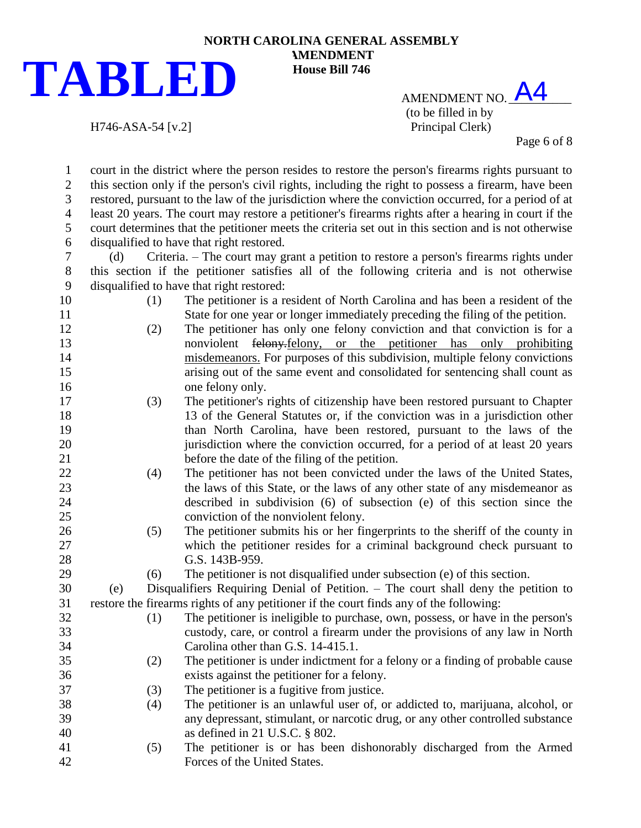

AMENDMENT NO. A4 (to be filled in by

H746-ASA-54 [v.2] Principal Clerk)

Page 6 of 8

 court in the district where the person resides to restore the person's firearms rights pursuant to this section only if the person's civil rights, including the right to possess a firearm, have been restored, pursuant to the law of the jurisdiction where the conviction occurred, for a period of at least 20 years. The court may restore a petitioner's firearms rights after a hearing in court if the court determines that the petitioner meets the criteria set out in this section and is not otherwise disqualified to have that right restored.

 (d) Criteria. – The court may grant a petition to restore a person's firearms rights under this section if the petitioner satisfies all of the following criteria and is not otherwise disqualified to have that right restored:

- 
- (1) The petitioner is a resident of North Carolina and has been a resident of the State for one year or longer immediately preceding the filing of the petition.
- (2) The petitioner has only one felony conviction and that conviction is for a **nonviolent** felony, or the petitioner has only prohibiting misdemeanors. For purposes of this subdivision, multiple felony convictions arising out of the same event and consolidated for sentencing shall count as one felony only.
- (3) The petitioner's rights of citizenship have been restored pursuant to Chapter 13 of the General Statutes or, if the conviction was in a jurisdiction other than North Carolina, have been restored, pursuant to the laws of the 20 iurisdiction where the conviction occurred, for a period of at least 20 years before the date of the filing of the petition.
- (4) The petitioner has not been convicted under the laws of the United States, the laws of this State, or the laws of any other state of any misdemeanor as described in subdivision (6) of subsection (e) of this section since the conviction of the nonviolent felony.
- (5) The petitioner submits his or her fingerprints to the sheriff of the county in which the petitioner resides for a criminal background check pursuant to 28 G.S. 143B-959.
- (6) The petitioner is not disqualified under subsection (e) of this section.

 (e) Disqualifiers Requiring Denial of Petition. – The court shall deny the petition to restore the firearms rights of any petitioner if the court finds any of the following:

- (1) The petitioner is ineligible to purchase, own, possess, or have in the person's custody, care, or control a firearm under the provisions of any law in North Carolina other than G.S. 14-415.1.
- (2) The petitioner is under indictment for a felony or a finding of probable cause exists against the petitioner for a felony.
- (3) The petitioner is a fugitive from justice.
- (4) The petitioner is an unlawful user of, or addicted to, marijuana, alcohol, or any depressant, stimulant, or narcotic drug, or any other controlled substance as defined in 21 U.S.C. § 802.
- (5) The petitioner is or has been dishonorably discharged from the Armed Forces of the United States.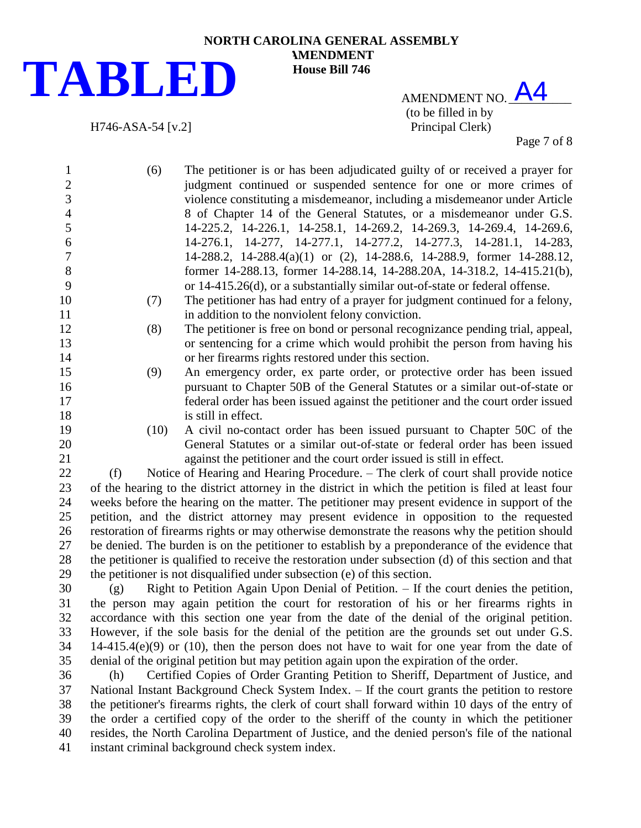

AMENDMENT NO. A4 (to be filled in by H746-ASA-54 [v.2] Principal Clerk)

Page 7 of 8

- (6) The petitioner is or has been adjudicated guilty of or received a prayer for 2 judgment continued or suspended sentence for one or more crimes of violence constituting a misdemeanor, including a misdemeanor under Article 8 of Chapter 14 of the General Statutes, or a misdemeanor under G.S. 14-225.2, 14-226.1, 14-258.1, 14-269.2, 14-269.3, 14-269.4, 14-269.6, 14-276.1, 14-277, 14-277.1, 14-277.2, 14-277.3, 14-281.1, 14-283, 14-288.2, 14-288.4(a)(1) or (2), 14-288.6, 14-288.9, former 14-288.12, former 14-288.13, former 14-288.14, 14-288.20A, 14-318.2, 14-415.21(b), or 14-415.26(d), or a substantially similar out-of-state or federal offense. (7) The petitioner has had entry of a prayer for judgment continued for a felony, 11 in addition to the nonviolent felony conviction. (8) The petitioner is free on bond or personal recognizance pending trial, appeal, or sentencing for a crime which would prohibit the person from having his or her firearms rights restored under this section. (9) An emergency order, ex parte order, or protective order has been issued pursuant to Chapter 50B of the General Statutes or a similar out-of-state or federal order has been issued against the petitioner and the court order issued 18 is still in effect. (10) A civil no-contact order has been issued pursuant to Chapter 50C of the General Statutes or a similar out-of-state or federal order has been issued against the petitioner and the court order issued is still in effect. (f) Notice of Hearing and Hearing Procedure. – The clerk of court shall provide notice of the hearing to the district attorney in the district in which the petition is filed at least four weeks before the hearing on the matter. The petitioner may present evidence in support of the petition, and the district attorney may present evidence in opposition to the requested restoration of firearms rights or may otherwise demonstrate the reasons why the petition should be denied. The burden is on the petitioner to establish by a preponderance of the evidence that the petitioner is qualified to receive the restoration under subsection (d) of this section and that the petitioner is not disqualified under subsection (e) of this section. (g) Right to Petition Again Upon Denial of Petition. – If the court denies the petition,
- the person may again petition the court for restoration of his or her firearms rights in accordance with this section one year from the date of the denial of the original petition. However, if the sole basis for the denial of the petition are the grounds set out under G.S. 14-415.4(e)(9) or (10), then the person does not have to wait for one year from the date of denial of the original petition but may petition again upon the expiration of the order.
- (h) Certified Copies of Order Granting Petition to Sheriff, Department of Justice, and National Instant Background Check System Index. – If the court grants the petition to restore the petitioner's firearms rights, the clerk of court shall forward within 10 days of the entry of the order a certified copy of the order to the sheriff of the county in which the petitioner resides, the North Carolina Department of Justice, and the denied person's file of the national instant criminal background check system index.